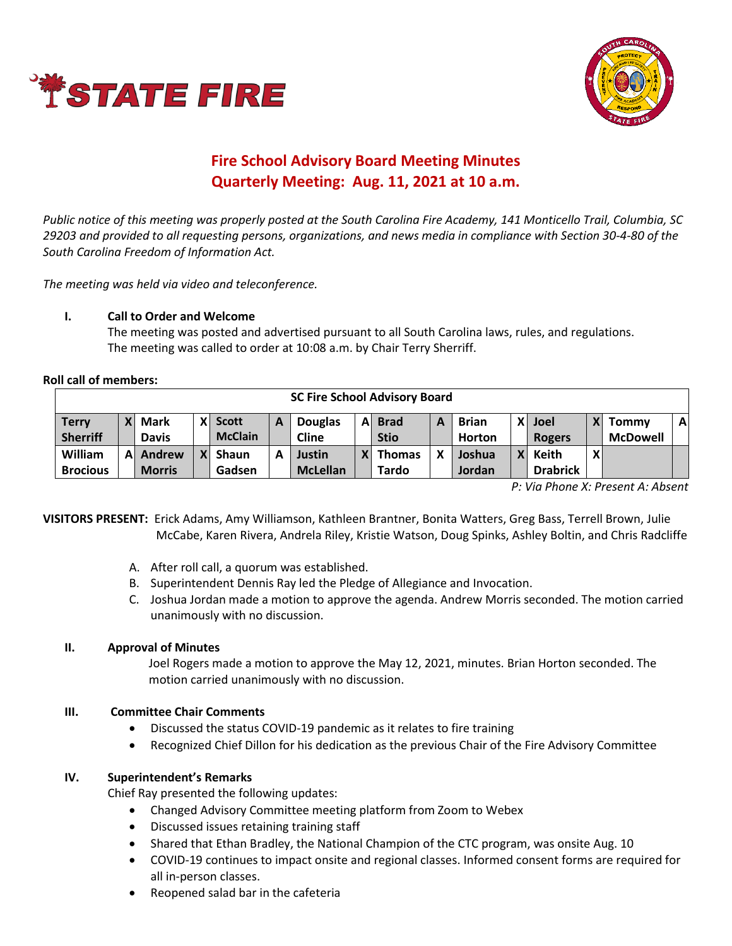



# **Fire School Advisory Board Meeting Minutes Quarterly Meeting: Aug. 11, 2021 at 10 a.m.**

*Public notice of this meeting was properly posted at the South Carolina Fire Academy, 141 Monticello Trail, Columbia, SC 29203 and provided to all requesting persons, organizations, and news media in compliance with Section 30-4-80 of the South Carolina Freedom of Information Act.* 

*The meeting was held via video and teleconference.*

## **I. Call to Order and Welcome**

The meeting was posted and advertised pursuant to all South Carolina laws, rules, and regulations. The meeting was called to order at 10:08 a.m. by Chair Terry Sherriff.

**Roll call of members:**

| <b>SC Fire School Advisory Board</b> |    |               |    |                |   |                 |    |               |   |               |    |                 |              |                 |              |
|--------------------------------------|----|---------------|----|----------------|---|-----------------|----|---------------|---|---------------|----|-----------------|--------------|-----------------|--------------|
| <b>Terry</b>                         |    | <b>Mark</b>   |    | X Scott        | A | <b>Douglas</b>  | ΑI | <b>Brad</b>   | A | <b>Brian</b>  | X١ | Joel            | $\mathsf{X}$ | Tommy           | $\mathbf{A}$ |
| <b>Sherriff</b>                      |    | <b>Davis</b>  |    | <b>McClain</b> |   | <b>Cline</b>    |    | <b>Stio</b>   |   | <b>Horton</b> |    | <b>Rogers</b>   |              | <b>McDowell</b> |              |
| William                              | Αl | Andrew        | ΧI | Shaun          |   | <b>Justin</b>   |    | <b>Thomas</b> |   | Joshua        |    | X Keith         | X            |                 |              |
| <b>Brocious</b>                      |    | <b>Morris</b> |    | Gadsen         |   | <b>McLellan</b> |    | Tardo         |   | <b>Jordan</b> |    | <b>Drabrick</b> |              |                 |              |

*P: Via Phone X: Present A: Absent*

**VISITORS PRESENT:** Erick Adams, Amy Williamson, Kathleen Brantner, Bonita Watters, Greg Bass, Terrell Brown, Julie McCabe, Karen Rivera, Andrela Riley, Kristie Watson, Doug Spinks, Ashley Boltin, and Chris Radcliffe

- A. After roll call, a quorum was established.
- B. Superintendent Dennis Ray led the Pledge of Allegiance and Invocation.
- C. Joshua Jordan made a motion to approve the agenda. Andrew Morris seconded. The motion carried unanimously with no discussion.

## **II. Approval of Minutes**

Joel Rogers made a motion to approve the May 12, 2021, minutes. Brian Horton seconded. The motion carried unanimously with no discussion.

# **III. Committee Chair Comments**

- Discussed the status COVID-19 pandemic as it relates to fire training
- Recognized Chief Dillon for his dedication as the previous Chair of the Fire Advisory Committee

## **IV. Superintendent's Remarks**

Chief Ray presented the following updates:

- Changed Advisory Committee meeting platform from Zoom to Webex
- Discussed issues retaining training staff
- Shared that Ethan Bradley, the National Champion of the CTC program, was onsite Aug. 10
- COVID-19 continues to impact onsite and regional classes. Informed consent forms are required for all in-person classes.
- Reopened salad bar in the cafeteria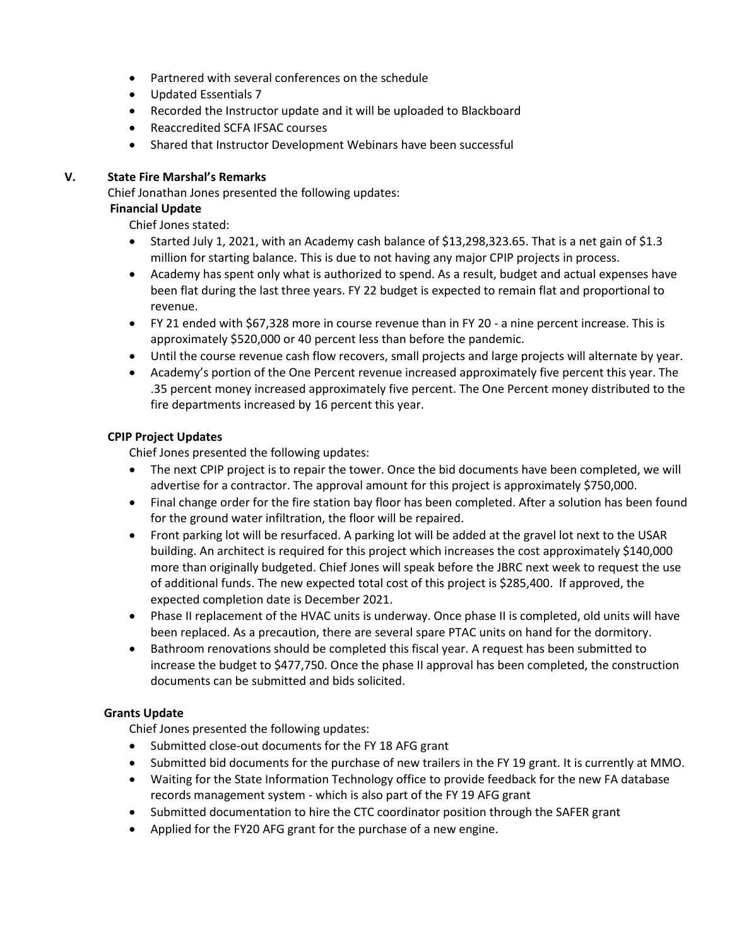- Partnered with several conferences on the schedule
- Updated Essentials 7
- Recorded the Instructor update and it will be uploaded to Blackboard
- Reaccredited SCFA IFSAC courses
- Shared that Instructor Development Webinars have been successful

# **V. State Fire Marshal's Remarks**

Chief Jonathan Jones presented the following updates:

# **Financial Update**

Chief Jones stated:

- Started July 1, 2021, with an Academy cash balance of \$13,298,323.65. That is a net gain of \$1.3 million for starting balance. This is due to not having any major CPIP projects in process.
- Academy has spent only what is authorized to spend. As a result, budget and actual expenses have been flat during the last three years. FY 22 budget is expected to remain flat and proportional to revenue.
- FY 21 ended with \$67,328 more in course revenue than in FY 20 a nine percent increase. This is approximately \$520,000 or 40 percent less than before the pandemic.
- Until the course revenue cash flow recovers, small projects and large projects will alternate by year.
- Academy's portion of the One Percent revenue increased approximately five percent this year. The .35 percent money increased approximately five percent. The One Percent money distributed to the fire departments increased by 16 percent this year.

## **CPIP Project Updates**

Chief Jones presented the following updates:

- The next CPIP project is to repair the tower. Once the bid documents have been completed, we will advertise for a contractor. The approval amount for this project is approximately \$750,000.
- Final change order for the fire station bay floor has been completed. After a solution has been found for the ground water infiltration, the floor will be repaired.
- Front parking lot will be resurfaced. A parking lot will be added at the gravel lot next to the USAR building. An architect is required for this project which increases the cost approximately \$140,000 more than originally budgeted. Chief Jones will speak before the JBRC next week to request the use of additional funds. The new expected total cost of this project is \$285,400. If approved, the expected completion date is December 2021.
- Phase II replacement of the HVAC units is underway. Once phase II is completed, old units will have been replaced. As a precaution, there are several spare PTAC units on hand for the dormitory.
- Bathroom renovations should be completed this fiscal year. A request has been submitted to increase the budget to \$477,750. Once the phase II approval has been completed, the construction documents can be submitted and bids solicited.

# **Grants Update**

Chief Jones presented the following updates:

- Submitted close-out documents for the FY 18 AFG grant
- Submitted bid documents for the purchase of new trailers in the FY 19 grant. It is currently at MMO.
- Waiting for the State Information Technology office to provide feedback for the new FA database records management system - which is also part of the FY 19 AFG grant
- Submitted documentation to hire the CTC coordinator position through the SAFER grant
- Applied for the FY20 AFG grant for the purchase of a new engine.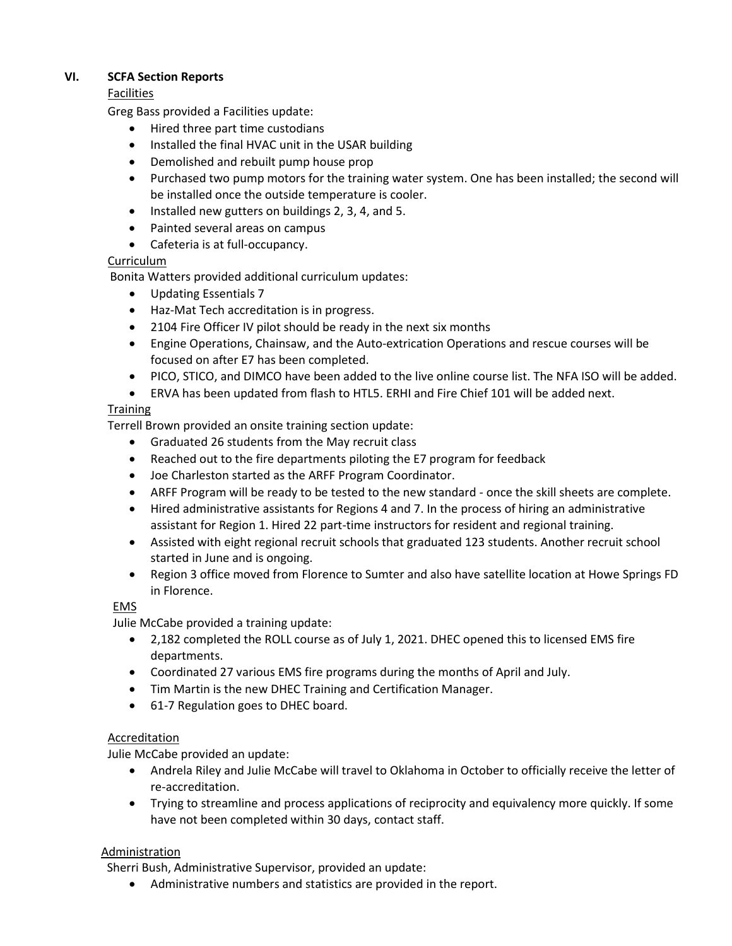## **VI. SCFA Section Reports**

## Facilities

Greg Bass provided a Facilities update:

- Hired three part time custodians
- Installed the final HVAC unit in the USAR building
- Demolished and rebuilt pump house prop
- Purchased two pump motors for the training water system. One has been installed; the second will be installed once the outside temperature is cooler.
- Installed new gutters on buildings 2, 3, 4, and 5.
- Painted several areas on campus
- Cafeteria is at full-occupancy.

## Curriculum

Bonita Watters provided additional curriculum updates:

- Updating Essentials 7
- Haz-Mat Tech accreditation is in progress.
- 2104 Fire Officer IV pilot should be ready in the next six months
- Engine Operations, Chainsaw, and the Auto-extrication Operations and rescue courses will be focused on after E7 has been completed.
- PICO, STICO, and DIMCO have been added to the live online course list. The NFA ISO will be added.
- ERVA has been updated from flash to HTL5. ERHI and Fire Chief 101 will be added next.

## **Training**

Terrell Brown provided an onsite training section update:

- Graduated 26 students from the May recruit class
- Reached out to the fire departments piloting the E7 program for feedback
- Joe Charleston started as the ARFF Program Coordinator.
- ARFF Program will be ready to be tested to the new standard once the skill sheets are complete.
- Hired administrative assistants for Regions 4 and 7. In the process of hiring an administrative assistant for Region 1. Hired 22 part-time instructors for resident and regional training.
- Assisted with eight regional recruit schools that graduated 123 students. Another recruit school started in June and is ongoing.
- Region 3 office moved from Florence to Sumter and also have satellite location at Howe Springs FD in Florence.

# EMS

Julie McCabe provided a training update:

- 2,182 completed the ROLL course as of July 1, 2021. DHEC opened this to licensed EMS fire departments.
- Coordinated 27 various EMS fire programs during the months of April and July.
- Tim Martin is the new DHEC Training and Certification Manager.
- 61-7 Regulation goes to DHEC board.

## Accreditation

Julie McCabe provided an update:

- Andrela Riley and Julie McCabe will travel to Oklahoma in October to officially receive the letter of re-accreditation.
- Trying to streamline and process applications of reciprocity and equivalency more quickly. If some have not been completed within 30 days, contact staff.

## Administration

Sherri Bush, Administrative Supervisor, provided an update:

• Administrative numbers and statistics are provided in the report.